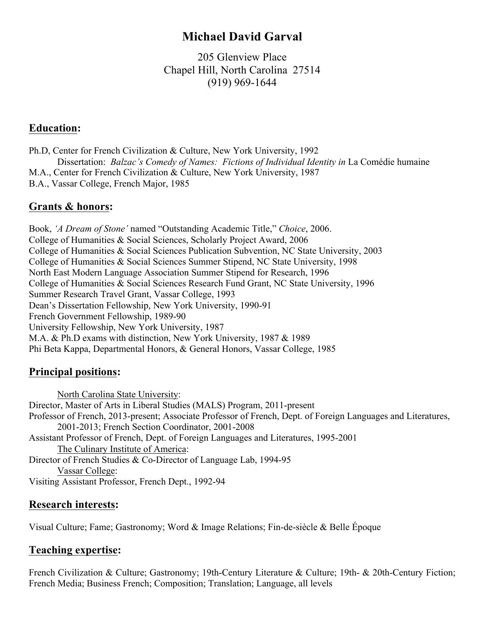# **Michael David Garval**

205 Glenview Place Chapel Hill, North Carolina 27514 (919) 969-1644

### **Education:**

Ph.D, Center for French Civilization & Culture, New York University, 1992 Pissertation: *Balzac's Comedy of Names: Fictions of Individual Identity in* La Comédie humaine M.A., Center for French Civilization & Culture, New York University, 1987 B.A., Vassar College, French Major, 1985

## **Grants & honors:**

Book, *'A Dream of Stone'* named "Outstanding Academic Title," *Choice*, 2006. College of Humanities & Social Sciences, Scholarly Project Award, 2006 College of Humanities & Social Sciences Publication Subvention, NC State University, 2003 College of Humanities & Social Sciences Summer Stipend, NC State University, 1998 North East Modern Language Association Summer Stipend for Research, 1996 College of Humanities & Social Sciences Research Fund Grant, NC State University, 1996 Summer Research Travel Grant, Vassar College, 1993 Dean's Dissertation Fellowship, New York University, 1990-91 French Government Fellowship, 1989-90 University Fellowship, New York University, 1987 M.A. & Ph.D exams with distinction, New York University, 1987 & 1989 Phi Beta Kappa, Departmental Honors, & General Honors, Vassar College, 1985

## **Principal positions:**

North Carolina State University: Director, Master of Arts in Liberal Studies (MALS) Program, 2011-present Professor of French, 2013-present; Associate Professor of French, Dept. of Foreign Languages and Literatures, 2001-2013; French Section Coordinator, 2001-2008 Assistant Professor of French, Dept. of Foreign Languages and Literatures, 1995-2001 The Culinary Institute of America: Director of French Studies & Co-Director of Language Lab, 1994-95 Vassar College: Visiting Assistant Professor, French Dept., 1992-94

### **Research interests:**

Visual Culture; Fame; Gastronomy; Word & Image Relations; Fin-de-siècle & Belle Époque

### **Teaching expertise:**

French Civilization & Culture; Gastronomy; 19th-Century Literature & Culture; 19th- & 20th-Century Fiction; French Media; Business French; Composition; Translation; Language, all levels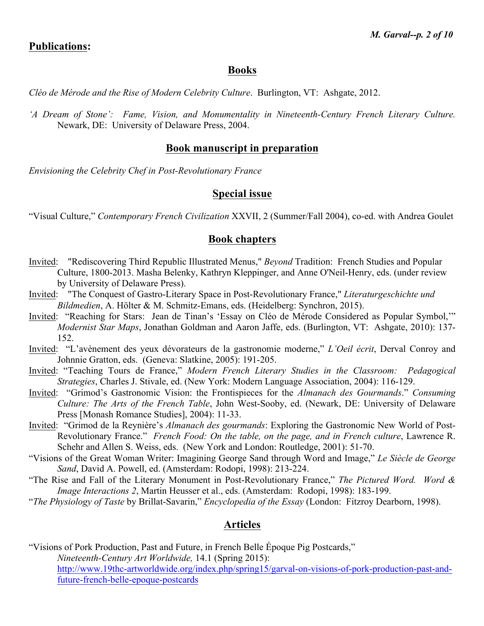#### **Publications:**

#### **Books**

*Cléo de Mérode and the Rise of Modern Celebrity Culture*. Burlington, VT: Ashgate, 2012.

*'A Dream of Stone': Fame, Vision, and Monumentality in Nineteenth-Century French Literary Culture.*  Newark, DE: University of Delaware Press, 2004.

#### **Book manuscript in preparation**

*Envisioning the Celebrity Chef in Post-Revolutionary France*

### **Special issue**

"Visual Culture," *Contemporary French Civilization* XXVII, 2 (Summer/Fall 2004), co-ed. with Andrea Goulet

#### **Book chapters**

- Invited: "Rediscovering Third Republic Illustrated Menus," *Beyond* Tradition: French Studies and Popular Culture, 1800-2013. Masha Belenky, Kathryn Kleppinger, and Anne O'Neil-Henry, eds. (under review by University of Delaware Press).
- Invited: "The Conquest of Gastro-Literary Space in Post-Revolutionary France," *Literaturgeschichte und Bildmedien*, A. Hölter & M. Schmitz-Emans, eds. (Heidelberg: Synchron, 2015).
- Invited: "Reaching for Stars: Jean de Tinan's 'Essay on Cléo de Mérode Considered as Popular Symbol,'" *Modernist Star Maps*, Jonathan Goldman and Aaron Jaffe, eds. (Burlington, VT: Ashgate, 2010): 137- 152.
- Invited: "L'avènement des yeux dévorateurs de la gastronomie moderne," *L'Oeil écrit*, Derval Conroy and Johnnie Gratton, eds. (Geneva: Slatkine, 2005): 191-205.
- Invited: "Teaching Tours de France," *Modern French Literary Studies in the Classroom: Pedagogical Strategies*, Charles J. Stivale, ed. (New York: Modern Language Association, 2004): 116-129.
- Invited: "Grimod's Gastronomic Vision: the Frontispieces for the *Almanach des Gourmands*." *Consuming Culture: The Arts of the French Table*, John West-Sooby, ed. (Newark, DE: University of Delaware Press [Monash Romance Studies], 2004): 11-33.
- Invited: "Grimod de la Reynière's *Almanach des gourmands*: Exploring the Gastronomic New World of Post-Revolutionary France." *French Food: On the table, on the page, and in French culture*, Lawrence R. Schehr and Allen S. Weiss, eds. (New York and London: Routledge, 2001): 51-70.
- "Visions of the Great Woman Writer: Imagining George Sand through Word and Image," *Le Siècle de George Sand*, David A. Powell, ed. (Amsterdam: Rodopi, 1998): 213-224.
- "The Rise and Fall of the Literary Monument in Post-Revolutionary France," *The Pictured Word. Word & Image Interactions 2*, Martin Heusser et al., eds. (Amsterdam: Rodopi, 1998): 183-199.
- "*The Physiology of Taste* by Brillat-Savarin," *Encyclopedia of the Essay* (London: Fitzroy Dearborn, 1998).

#### **Articles**

"Visions of Pork Production, Past and Future, in French Belle Époque Pig Postcards," *Nineteenth-Century Art Worldwide,* 14.1 (Spring 2015): http://www.19thc-artworldwide.org/index.php/spring15/garval-on-visions-of-pork-production-past-andfuture-french-belle-epoque-postcards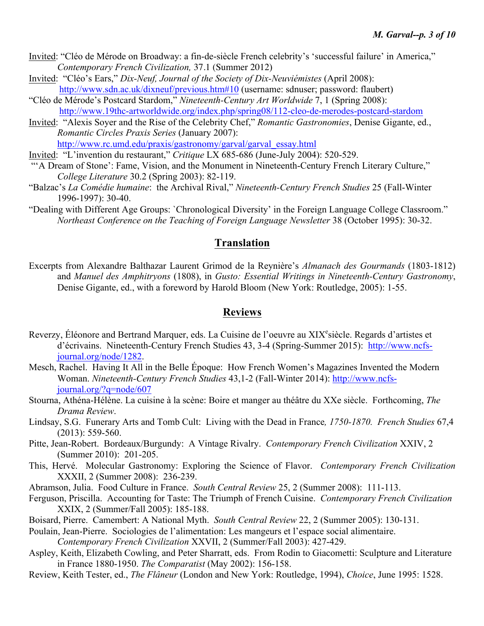- Invited: "Cléo de Mérode on Broadway: a fin-de-siècle French celebrity's 'successful failure' in America," *Contemporary French Civilization,* 37.1 (Summer 2012)
- Invited: "Cléo's Ears," *Dix-Neuf, Journal of the Society of Dix-Neuviémistes* (April 2008): http://www.sdn.ac.uk/dixneuf/previous.htm#10 (username: sdnuser; password: flaubert)
- "Cléo de Mérode's Postcard Stardom," *Nineteenth-Century Art Worldwide* 7, 1 (Spring 2008): http://www.19thc-artworldwide.org/index.php/spring08/112-cleo-de-merodes-postcard-stardom
- Invited: "Alexis Soyer and the Rise of the Celebrity Chef," *Romantic Gastronomies*, Denise Gigante, ed., *Romantic Circles Praxis Series* (January 2007): http://www.rc.umd.edu/praxis/gastronomy/garval/garval\_essay.html
- Invited: "L'invention du restaurant," *Critique* LX 685-686 (June-July 2004): 520-529.
- "'A Dream of Stone': Fame, Vision, and the Monument in Nineteenth-Century French Literary Culture," *College Literature* 30.2 (Spring 2003): 82-119.
- "Balzac's *La Comédie humaine*: the Archival Rival," *Nineteenth-Century French Studies* 25 (Fall-Winter 1996-1997): 30-40.
- "Dealing with Different Age Groups: `Chronological Diversity' in the Foreign Language College Classroom." *Northeast Conference on the Teaching of Foreign Language Newsletter* 38 (October 1995): 30-32.

#### **Translation**

Excerpts from Alexandre Balthazar Laurent Grimod de la Reynière's *Almanach des Gourmands* (1803-1812) and *Manuel des Amphitryons* (1808), in *Gusto: Essential Writings in Nineteenth-Century Gastronomy*, Denise Gigante, ed., with a foreword by Harold Bloom (New York: Routledge, 2005): 1-55.

#### **Reviews**

- Reverzy, Éléonore and Bertrand Marquer, eds. La Cuisine de l'oeuvre au XIX<sup>e</sup>siècle. Regards d'artistes et d'écrivains. Nineteenth-Century French Studies 43, 3-4 (Spring-Summer 2015): http://www.ncfsjournal.org/node/1282.
- Mesch, Rachel. Having It All in the Belle Époque: How French Women's Magazines Invented the Modern Woman. *Nineteenth-Century French Studies* 43,1-2 (Fall-Winter 2014): http://www.ncfsjournal.org/?q=node/607
- Stourna, Athéna-Hélène. La cuisine à la scène: Boire et manger au théâtre du XXe siècle. Forthcoming, *The Drama Review*.
- Lindsay, S.G. Funerary Arts and Tomb Cult: Living with the Dead in France*, 1750-1870. French Studies* 67,4 (2013): 559-560.
- Pitte, Jean-Robert. Bordeaux/Burgundy: A Vintage Rivalry. *Contemporary French Civilization* XXIV, 2 (Summer 2010): 201-205.
- This, Hervé. Molecular Gastronomy: Exploring the Science of Flavor. *Contemporary French Civilization* XXXII, 2 (Summer 2008): 236-239.
- Abramson, Julia. Food Culture in France. *South Central Review* 25, 2 (Summer 2008): 111-113.
- Ferguson, Priscilla. Accounting for Taste: The Triumph of French Cuisine. *Contemporary French Civilization* XXIX, 2 (Summer/Fall 2005): 185-188.
- Boisard, Pierre. Camembert: A National Myth. *South Central Review* 22, 2 (Summer 2005): 130-131.
- Poulain, Jean-Pierre. Sociologies de l'alimentation: Les mangeurs et l'espace social alimentaire.
	- *Contemporary French Civilization* XXVII, 2 (Summer/Fall 2003): 427-429.
- Aspley, Keith, Elizabeth Cowling, and Peter Sharratt, eds. From Rodin to Giacometti: Sculpture and Literature in France 1880-1950. *The Comparatist* (May 2002): 156-158.
- Review, Keith Tester, ed., *The Flâneur* (London and New York: Routledge, 1994), *Choice*, June 1995: 1528.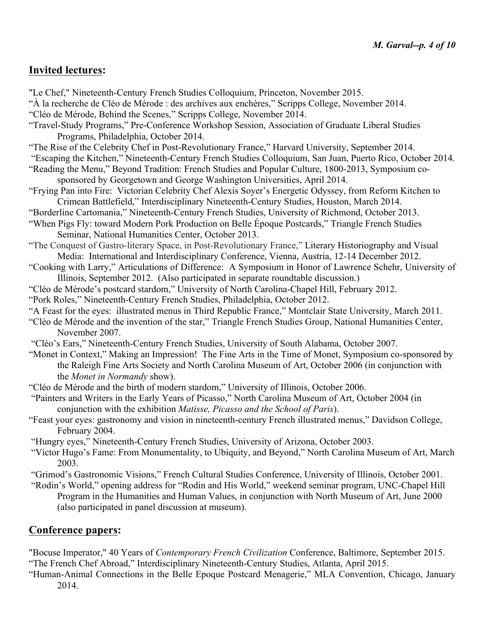## **Invited lectures:**

- "Le Chef," Nineteenth-Century French Studies Colloquium, Princeton, November 2015.
- "À la recherche de Cléo de Mérode : des archives aux enchères," Scripps College, November 2014.
- "Cléo de Mérode, Behind the Scenes," Scripps College, November 2014.
- "Travel-Study Programs," Pre-Conference Workshop Session, Association of Graduate Liberal Studies Programs, Philadelphia, October 2014.
- "The Rise of the Celebrity Chef in Post-Revolutionary France," Harvard University, September 2014.
- "Escaping the Kitchen," Nineteenth-Century French Studies Colloquium, San Juan, Puerto Rico, October 2014.
- "Reading the Menu," Beyond Tradition: French Studies and Popular Culture, 1800-2013, Symposium cosponsored by Georgetown and George Washington Universities, April 2014.
- "Frying Pan into Fire: Victorian Celebrity Chef Alexis Soyer's Energetic Odyssey, from Reform Kitchen to Crimean Battlefield," Interdisciplinary Nineteenth-Century Studies, Houston, March 2014.
- "Borderline Cartomania," Nineteenth-Century French Studies, University of Richmond, October 2013.
- "When Pigs Fly: toward Modern Pork Production on Belle Époque Postcards," Triangle French Studies Seminar, National Humanities Center, October 2013.
- "The Conquest of Gastro-literary Space, in Post-Revolutionary France," Literary Historiography and Visual Media: International and Interdisciplinary Conference, Vienna, Austria, 12-14 December 2012.
- "Cooking with Larry," Articulations of Difference: A Symposium in Honor of Lawrence Schehr, University of Illinois, September 2012. (Also participated in separate roundtable discussion.)
- "Cléo de Mérode's postcard stardom," University of North Carolina-Chapel Hill, February 2012.
- "Pork Roles," Nineteenth-Century French Studies, Philadelphia, October 2012.
- "A Feast for the eyes: illustrated menus in Third Republic France," Montclair State University, March 2011.
- "Cléo de Mérode and the invention of the star," Triangle French Studies Group, National Humanities Center, November 2007.
- "Cléo's Ears," Nineteenth-Century French Studies, University of South Alabama, October 2007.
- "Monet in Context," Making an Impression! The Fine Arts in the Time of Monet, Symposium co-sponsored by the Raleigh Fine Arts Society and North Carolina Museum of Art, October 2006 (in conjunction with the *Monet in Normandy* show).
- "Cléo de Mérode and the birth of modern stardom," University of Illinois, October 2006.
- "Painters and Writers in the Early Years of Picasso," North Carolina Museum of Art, October 2004 (in conjunction with the exhibition *Matisse, Picasso and the School of Paris*).
- "Feast your eyes: gastronomy and vision in nineteenth-century French illustrated menus," Davidson College, February 2004.
- "Hungry eyes," Nineteenth-Century French Studies, University of Arizona, October 2003.
- "Victor Hugo's Fame: From Monumentality, to Ubiquity, and Beyond," North Carolina Museum of Art, March 2003.
- "Grimod's Gastronomic Visions," French Cultural Studies Conference, University of Illinois, October 2001.
- "Rodin's World," opening address for "Rodin and His World," weekend seminar program, UNC-Chapel Hill Program in the Humanities and Human Values, in conjunction with North Museum of Art, June 2000 (also participated in panel discussion at museum).

## **Conference papers:**

- "Bocuse Imperator," 40 Years of *Contemporary French Civilization* Conference, Baltimore, September 2015. "The French Chef Abroad," Interdisciplinary Nineteenth-Century Studies, Atlanta, April 2015.
- "Human-Animal Connections in the Belle Epoque Postcard Menagerie," MLA Convention, Chicago, January 2014.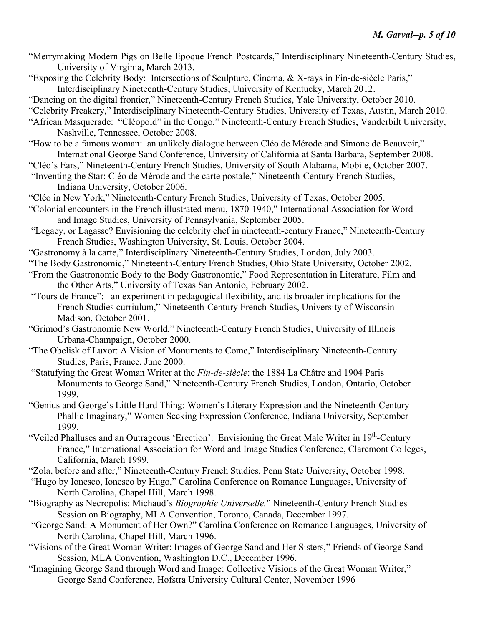- "Merrymaking Modern Pigs on Belle Epoque French Postcards," Interdisciplinary Nineteenth-Century Studies, University of Virginia, March 2013.
- "Exposing the Celebrity Body: Intersections of Sculpture, Cinema, & X-rays in Fin-de-siècle Paris," Interdisciplinary Nineteenth-Century Studies, University of Kentucky, March 2012.
- "Dancing on the digital frontier," Nineteenth-Century French Studies, Yale University, October 2010.
- "Celebrity Freakery," Interdisciplinary Nineteenth-Century Studies, University of Texas, Austin, March 2010.
- "African Masquerade: "Cléopold" in the Congo," Nineteenth-Century French Studies, Vanderbilt University, Nashville, Tennessee, October 2008.
- "How to be a famous woman: an unlikely dialogue between Cléo de Mérode and Simone de Beauvoir," International George Sand Conference, University of California at Santa Barbara, September 2008.
- "Cléo's Ears," Nineteenth-Century French Studies, University of South Alabama, Mobile, October 2007.
- "Inventing the Star: Cléo de Mérode and the carte postale," Nineteenth-Century French Studies, Indiana University, October 2006.
- "Cléo in New York," Nineteenth-Century French Studies, University of Texas, October 2005.
- "Colonial encounters in the French illustrated menu, 1870-1940," International Association for Word and Image Studies, University of Pennsylvania, September 2005.
- "Legacy, or Lagasse? Envisioning the celebrity chef in nineteenth-century France," Nineteenth-Century French Studies, Washington University, St. Louis, October 2004.
- "Gastronomy à la carte," Interdisciplinary Nineteenth-Century Studies, London, July 2003.
- "The Body Gastronomic," Nineteenth-Century French Studies, Ohio State University, October 2002.
- "From the Gastronomic Body to the Body Gastronomic," Food Representation in Literature, Film and the Other Arts," University of Texas San Antonio, February 2002.
- "Tours de France": an experiment in pedagogical flexibility, and its broader implications for the French Studies curriulum," Nineteenth-Century French Studies, University of Wisconsin Madison, October 2001.
- "Grimod's Gastronomic New World," Nineteenth-Century French Studies, University of Illinois Urbana-Champaign, October 2000.
- "The Obelisk of Luxor: A Vision of Monuments to Come," Interdisciplinary Nineteenth-Century Studies, Paris, France, June 2000.
- "Statufying the Great Woman Writer at the *Fin-de-siècle*: the 1884 La Châtre and 1904 Paris Monuments to George Sand," Nineteenth-Century French Studies, London, Ontario, October 1999.
- "Genius and George's Little Hard Thing: Women's Literary Expression and the Nineteenth-Century Phallic Imaginary," Women Seeking Expression Conference, Indiana University, September 1999.
- "Veiled Phalluses and an Outrageous 'Erection': Envisioning the Great Male Writer in 19<sup>th</sup>-Century France," International Association for Word and Image Studies Conference, Claremont Colleges, California, March 1999.
- "Zola, before and after," Nineteenth-Century French Studies, Penn State University, October 1998.
- "Hugo by Ionesco, Ionesco by Hugo," Carolina Conference on Romance Languages, University of North Carolina, Chapel Hill, March 1998.
- "Biography as Necropolis: Michaud's *Biographie Universelle,*" Nineteenth-Century French Studies Session on Biography, MLA Convention, Toronto, Canada, December 1997.
- "George Sand: A Monument of Her Own?" Carolina Conference on Romance Languages, University of North Carolina, Chapel Hill, March 1996.
- "Visions of the Great Woman Writer: Images of George Sand and Her Sisters," Friends of George Sand Session, MLA Convention, Washington D.C., December 1996.
- "Imagining George Sand through Word and Image: Collective Visions of the Great Woman Writer," George Sand Conference, Hofstra University Cultural Center, November 1996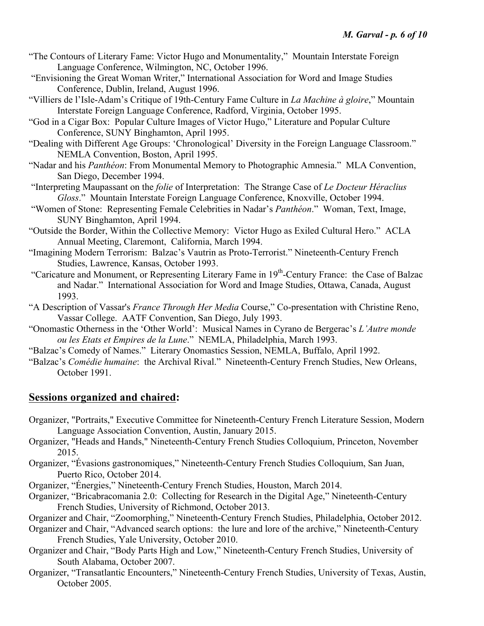- "The Contours of Literary Fame: Victor Hugo and Monumentality," Mountain Interstate Foreign Language Conference, Wilmington, NC, October 1996.
- "Envisioning the Great Woman Writer," International Association for Word and Image Studies Conference, Dublin, Ireland, August 1996.
- "Villiers de l'Isle-Adam's Critique of 19th-Century Fame Culture in *La Machine à gloire*," Mountain Interstate Foreign Language Conference, Radford, Virginia, October 1995.
- "God in a Cigar Box: Popular Culture Images of Victor Hugo," Literature and Popular Culture Conference, SUNY Binghamton, April 1995.
- "Dealing with Different Age Groups: 'Chronological' Diversity in the Foreign Language Classroom." NEMLA Convention, Boston, April 1995.
- "Nadar and his *Panthéon*: From Monumental Memory to Photographic Amnesia." MLA Convention, San Diego, December 1994.
- "Interpreting Maupassant on the *folie* of Interpretation: The Strange Case of *Le Docteur Héraclius Gloss*." Mountain Interstate Foreign Language Conference, Knoxville, October 1994.
- "Women of Stone: Representing Female Celebrities in Nadar's *Panthéon*." Woman, Text, Image, SUNY Binghamton, April 1994.
- "Outside the Border, Within the Collective Memory: Victor Hugo as Exiled Cultural Hero." ACLA Annual Meeting, Claremont, California, March 1994.
- "Imagining Modern Terrorism: Balzac's Vautrin as Proto-Terrorist." Nineteenth-Century French Studies, Lawrence, Kansas, October 1993.
- "Caricature and Monument, or Representing Literary Fame in 19th-Century France: the Case of Balzac and Nadar." International Association for Word and Image Studies, Ottawa, Canada, August 1993.
- "A Description of Vassar's *France Through Her Media* Course," Co-presentation with Christine Reno, Vassar College. AATF Convention, San Diego, July 1993.
- "Onomastic Otherness in the 'Other World': Musical Names in Cyrano de Bergerac's *L'Autre monde ou les Etats et Empires de la Lune*." NEMLA, Philadelphia, March 1993.
- "Balzac's Comedy of Names." Literary Onomastics Session, NEMLA, Buffalo, April 1992.
- "Balzac's *Comédie humaine*: the Archival Rival." Nineteenth-Century French Studies, New Orleans, October 1991.

### **Sessions organized and chaired:**

- Organizer, "Portraits," Executive Committee for Nineteenth-Century French Literature Session, Modern Language Association Convention, Austin, January 2015.
- Organizer, "Heads and Hands," Nineteenth-Century French Studies Colloquium, Princeton, November 2015.
- Organizer, "Évasions gastronomiques," Nineteenth-Century French Studies Colloquium, San Juan, Puerto Rico, October 2014.
- Organizer, "Énergies," Nineteenth-Century French Studies, Houston, March 2014.
- Organizer, "Bricabracomania 2.0: Collecting for Research in the Digital Age," Nineteenth-Century French Studies, University of Richmond, October 2013.

Organizer and Chair, "Zoomorphing," Nineteenth-Century French Studies, Philadelphia, October 2012.

- Organizer and Chair, "Advanced search options: the lure and lore of the archive," Nineteenth-Century French Studies, Yale University, October 2010.
- Organizer and Chair, "Body Parts High and Low," Nineteenth-Century French Studies, University of South Alabama, October 2007.
- Organizer, "Transatlantic Encounters," Nineteenth-Century French Studies, University of Texas, Austin, October 2005.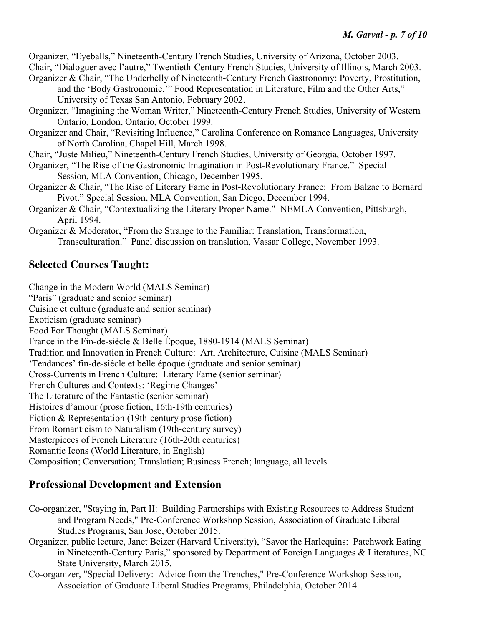Organizer, "Eyeballs," Nineteenth-Century French Studies, University of Arizona, October 2003. Chair, "Dialoguer avec l'autre," Twentieth-Century French Studies, University of Illinois, March 2003. Organizer & Chair, "The Underbelly of Nineteenth-Century French Gastronomy: Poverty, Prostitution,

- and the 'Body Gastronomic,'" Food Representation in Literature, Film and the Other Arts," University of Texas San Antonio, February 2002.
- Organizer, "Imagining the Woman Writer," Nineteenth-Century French Studies, University of Western Ontario, London, Ontario, October 1999.
- Organizer and Chair, "Revisiting Influence," Carolina Conference on Romance Languages, University of North Carolina, Chapel Hill, March 1998.
- Chair, "Juste Milieu," Nineteenth-Century French Studies, University of Georgia, October 1997.
- Organizer, "The Rise of the Gastronomic Imagination in Post-Revolutionary France." Special Session, MLA Convention, Chicago, December 1995.
- Organizer & Chair, "The Rise of Literary Fame in Post-Revolutionary France: From Balzac to Bernard Pivot." Special Session, MLA Convention, San Diego, December 1994.
- Organizer & Chair, "Contextualizing the Literary Proper Name." NEMLA Convention, Pittsburgh, April 1994.

Organizer & Moderator, "From the Strange to the Familiar: Translation, Transformation, Transculturation." Panel discussion on translation, Vassar College, November 1993.

# **Selected Courses Taught:**

Change in the Modern World (MALS Seminar) "Paris" (graduate and senior seminar) Cuisine et culture (graduate and senior seminar) Exoticism (graduate seminar) Food For Thought (MALS Seminar) France in the Fin-de-siècle & Belle Époque, 1880-1914 (MALS Seminar) Tradition and Innovation in French Culture: Art, Architecture, Cuisine (MALS Seminar) 'Tendances' fin-de-siècle et belle époque (graduate and senior seminar) Cross-Currents in French Culture: Literary Fame (senior seminar) French Cultures and Contexts: 'Regime Changes' The Literature of the Fantastic (senior seminar) Histoires d'amour (prose fiction, 16th-19th centuries) Fiction & Representation (19th-century prose fiction) From Romanticism to Naturalism (19th-century survey) Masterpieces of French Literature (16th-20th centuries) Romantic Icons (World Literature, in English) Composition; Conversation; Translation; Business French; language, all levels

# **Professional Development and Extension**

- Co-organizer, "Staying in, Part II: Building Partnerships with Existing Resources to Address Student and Program Needs," Pre-Conference Workshop Session, Association of Graduate Liberal Studies Programs, San Jose, October 2015.
- Organizer, public lecture, Janet Beizer (Harvard University), "Savor the Harlequins: Patchwork Eating in Nineteenth-Century Paris," sponsored by Department of Foreign Languages & Literatures, NC State University, March 2015.
- Co-organizer, "Special Delivery: Advice from the Trenches," Pre-Conference Workshop Session, Association of Graduate Liberal Studies Programs, Philadelphia, October 2014.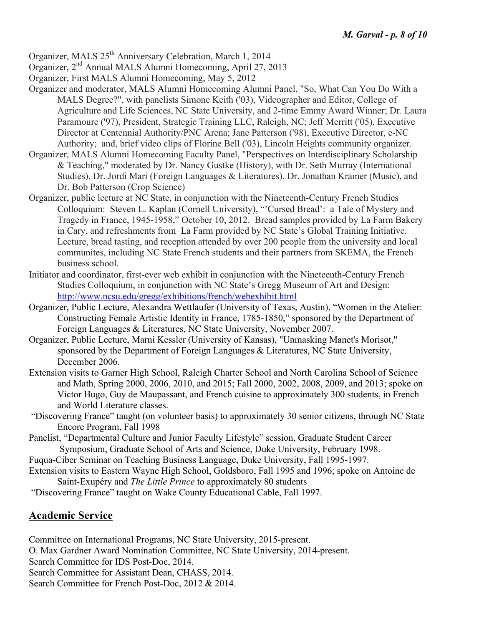- Organizer, MALS 25<sup>th</sup> Anniversary Celebration, March 1, 2014
- Organizer, 2nd Annual MALS Alumni Homecoming, April 27, 2013
- Organizer, First MALS Alumni Homecoming, May 5, 2012
- Organizer and moderator, MALS Alumni Homecoming Alumni Panel, "So, What Can You Do With a MALS Degree?", with panelists Simone Keith ('03), Videographer and Editor, College of Agriculture and Life Sciences, NC State University, and 2-time Emmy Award Winner; Dr. Laura Paramoure ('97), President, Strategic Training LLC, Raleigh, NC; Jeff Merritt ('05), Executive Director at Centennial Authority/PNC Arena; Jane Patterson ('98), Executive Director, e-NC Authority; and, brief video clips of Florine Bell ('03), Lincoln Heights community organizer.
- Organizer, MALS Alumni Homecoming Faculty Panel, "Perspectives on Interdisciplinary Scholarship & Teaching," moderated by Dr. Nancy Gustke (History), with Dr. Seth Murray (International Studies), Dr. Jordi Mari (Foreign Languages & Literatures), Dr. Jonathan Kramer (Music), and Dr. Bob Patterson (Crop Science)
- Organizer, public lecture at NC State, in conjunction with the Nineteenth-Century French Studies Colloquium: Steven L. Kaplan (Cornell University), "'Cursed Bread': a Tale of Mystery and Tragedy in France, 1945-1958," October 10, 2012. Bread samples provided by La Farm Bakery in Cary, and refreshments from La Farm provided by NC State's Global Training Initiative. Lecture, bread tasting, and reception attended by over 200 people from the university and local communites, including NC State French students and their partners from SKEMA, the French business school.
- Initiator and coordinator, first-ever web exhibit in conjunction with the Nineteenth-Century French Studies Colloquium, in conjunction with NC State's Gregg Museum of Art and Design: http://www.ncsu.edu/gregg/exhibitions/french/webexhibit.html
- Organizer, Public Lecture, Alexandra Wettlaufer (University of Texas, Austin), "Women in the Atelier: Constructing Female Artistic Identity in France, 1785-1850," sponsored by the Department of Foreign Languages & Literatures, NC State University, November 2007.
- Organizer, Public Lecture, Marni Kessler (University of Kansas), "Unmasking Manet's Morisot," sponsored by the Department of Foreign Languages & Literatures, NC State University, December 2006.
- Extension visits to Garner High School, Raleigh Charter School and North Carolina School of Science and Math, Spring 2000, 2006, 2010, and 2015; Fall 2000, 2002, 2008, 2009, and 2013; spoke on Victor Hugo, Guy de Maupassant, and French cuisine to approximately 300 students, in French and World Literature classes.
- "Discovering France" taught (on volunteer basis) to approximately 30 senior citizens, through NC State Encore Program, Fall 1998
- Panelist, "Departmental Culture and Junior Faculty Lifestyle" session, Graduate Student Career Symposium, Graduate School of Arts and Science, Duke University, February 1998.
- Fuqua-Ciber Seminar on Teaching Business Language, Duke University, Fall 1995-1997.
- Extension visits to Eastern Wayne High School, Goldsboro, Fall 1995 and 1996; spoke on Antoine de Saint-Exupéry and *The Little Prince* to approximately 80 students
- "Discovering France" taught on Wake County Educational Cable, Fall 1997.

### **Academic Service**

Committee on International Programs, NC State University, 2015-present.

- O. Max Gardner Award Nomination Committee, NC State University, 2014-present.
- Search Committee for IDS Post-Doc, 2014.
- Search Committee for Assistant Dean, CHASS, 2014.
- Search Committee for French Post-Doc, 2012 & 2014.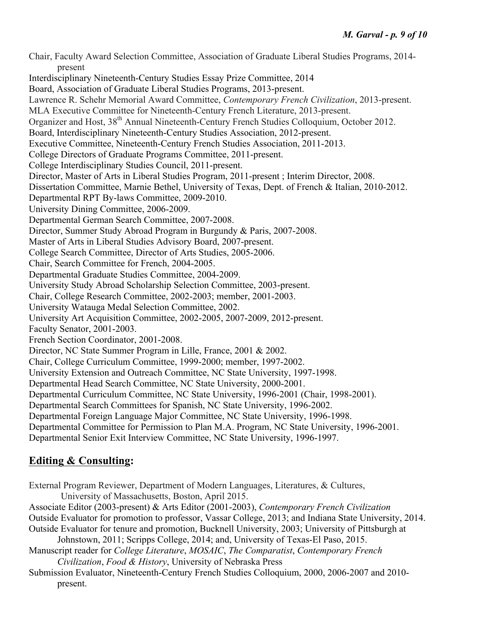Chair, Faculty Award Selection Committee, Association of Graduate Liberal Studies Programs, 2014 present Interdisciplinary Nineteenth-Century Studies Essay Prize Committee, 2014 Board, Association of Graduate Liberal Studies Programs, 2013-present. Lawrence R. Schehr Memorial Award Committee, *Contemporary French Civilization*, 2013-present. MLA Executive Committee for Nineteenth-Century French Literature, 2013-present. Organizer and Host, 38th Annual Nineteenth-Century French Studies Colloquium, October 2012. Board, Interdisciplinary Nineteenth-Century Studies Association, 2012-present. Executive Committee, Nineteenth-Century French Studies Association, 2011-2013. College Directors of Graduate Programs Committee, 2011-present. College Interdisciplinary Studies Council, 2011-present. Director, Master of Arts in Liberal Studies Program, 2011-present ; Interim Director, 2008. Dissertation Committee, Marnie Bethel, University of Texas, Dept. of French & Italian, 2010-2012. Departmental RPT By-laws Committee, 2009-2010. University Dining Committee, 2006-2009. Departmental German Search Committee, 2007-2008. Director, Summer Study Abroad Program in Burgundy & Paris, 2007-2008. Master of Arts in Liberal Studies Advisory Board, 2007-present. College Search Committee, Director of Arts Studies, 2005-2006. Chair, Search Committee for French, 2004-2005. Departmental Graduate Studies Committee, 2004-2009. University Study Abroad Scholarship Selection Committee, 2003-present. Chair, College Research Committee, 2002-2003; member, 2001-2003. University Watauga Medal Selection Committee, 2002. University Art Acquisition Committee, 2002-2005, 2007-2009, 2012-present. Faculty Senator, 2001-2003. French Section Coordinator, 2001-2008. Director, NC State Summer Program in Lille, France, 2001 & 2002. Chair, College Curriculum Committee, 1999-2000; member, 1997-2002. University Extension and Outreach Committee, NC State University, 1997-1998. Departmental Head Search Committee, NC State University, 2000-2001. Departmental Curriculum Committee, NC State University, 1996-2001 (Chair, 1998-2001). Departmental Search Committees for Spanish, NC State University, 1996-2002. Departmental Foreign Language Major Committee, NC State University, 1996-1998. Departmental Committee for Permission to Plan M.A. Program, NC State University, 1996-2001. Departmental Senior Exit Interview Committee, NC State University, 1996-1997.

# **Editing & Consulting:**

External Program Reviewer, Department of Modern Languages, Literatures, & Cultures, University of Massachusetts, Boston, April 2015.

Associate Editor (2003-present) & Arts Editor (2001-2003), *Contemporary French Civilization* Outside Evaluator for promotion to professor, Vassar College, 2013; and Indiana State University, 2014. Outside Evaluator for tenure and promotion, Bucknell University, 2003; University of Pittsburgh at

Johnstown, 2011; Scripps College, 2014; and, University of Texas-El Paso, 2015. Manuscript reader for *College Literature*, *MOSAIC*, *The Comparatist*, *Contemporary French Civilization*, *Food & History*, University of Nebraska Press

Submission Evaluator, Nineteenth-Century French Studies Colloquium, 2000, 2006-2007 and 2010 present.